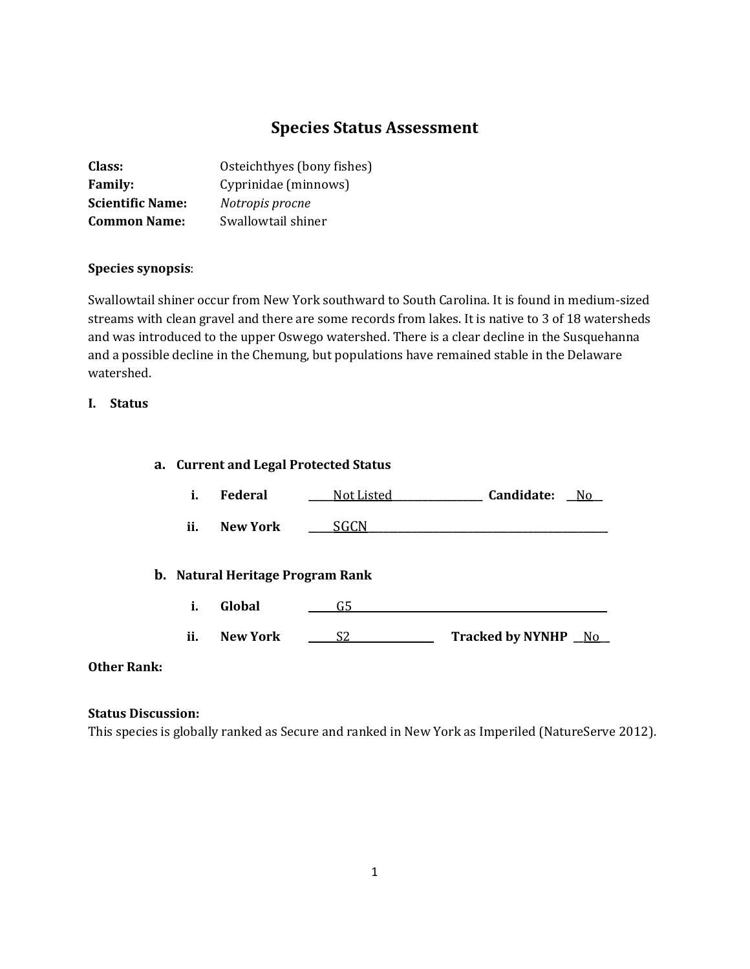# **Species Status Assessment**

| Class:                  | Osteichthyes (bony fishes) |
|-------------------------|----------------------------|
| <b>Family:</b>          | Cyprinidae (minnows)       |
| <b>Scientific Name:</b> | Notropis procne            |
| <b>Common Name:</b>     | Swallowtail shiner         |

## **Species synopsis**:

Swallowtail shiner occur from New York southward to South Carolina. It is found in medium-sized streams with clean gravel and there are some records from lakes. It is native to 3 of 18 watersheds and was introduced to the upper Oswego watershed. There is a clear decline in the Susquehanna and a possible decline in the Chemung, but populations have remained stable in the Delaware watershed.

## **I. Status**

# **a. Current and Legal Protected Status**

- **i. Federal \_\_\_\_\_**Not Listed**\_\_\_\_\_\_\_\_\_\_\_\_\_\_\_\_\_\_ Candidate: \_\_**No**\_\_**
- **ii. New York \_\_\_\_\_**SGCN**\_\_\_\_\_\_\_\_\_\_\_\_\_\_\_\_\_\_\_\_\_\_\_\_\_\_\_\_\_\_\_\_\_\_\_\_\_\_\_\_\_\_\_\_\_\_\_\_**

## **b. Natural Heritage Program Rank**

- **i. Global \_\_\_\_\_** G5**\_\_\_\_\_\_\_\_\_\_\_\_\_\_\_\_\_\_\_\_\_\_\_\_\_\_\_\_\_\_\_\_\_\_\_\_\_\_\_\_\_\_\_\_\_\_\_\_\_\_\_**
- **ii. New York \_\_\_\_\_** S2 **\_\_\_\_\_\_\_\_\_\_\_\_\_\_\_\_ Tracked by NYNHP \_\_**No**\_\_**

## **Other Rank:**

#### **Status Discussion:**

This species is globally ranked as Secure and ranked in New York as Imperiled (NatureServe 2012).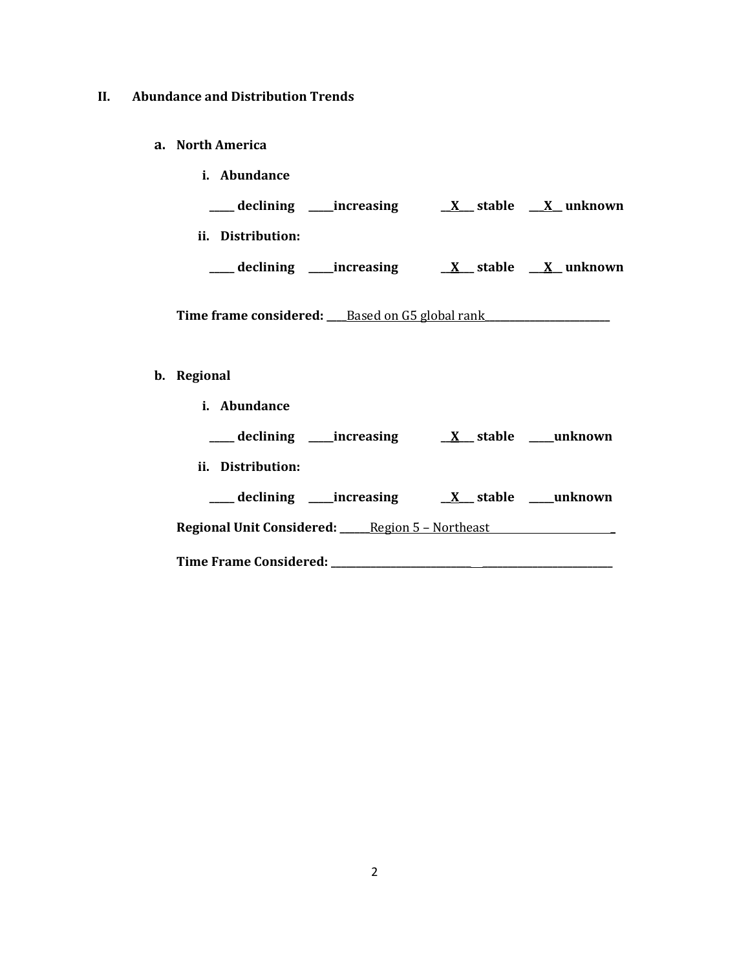# **II. Abundance and Distribution Trends**

**a. North America**

| i. Abundance                                       |                 |                        |
|----------------------------------------------------|-----------------|------------------------|
| declining _____increasing                          |                 | $X$ stable $X$ unknown |
| ii.<br>Distribution:                               |                 |                        |
| declining $\overline{\phantom{a}}$<br>__increasing | <u>X</u> stable | X unknown              |

Time frame considered: <u>Based on G5 global rank</u>

# **b. Regional**

| i. Abundance      |                                                                                        |  |                            |
|-------------------|----------------------------------------------------------------------------------------|--|----------------------------|
|                   | declining increasing X stable unknown                                                  |  |                            |
| ii. Distribution: |                                                                                        |  |                            |
|                   | ____ declining _____increasing                                                         |  | <u>X</u> stable ___unknown |
|                   | <b>Regional Unit Considered: _____ Region 5 - Northeast __________________________</b> |  |                            |
|                   |                                                                                        |  |                            |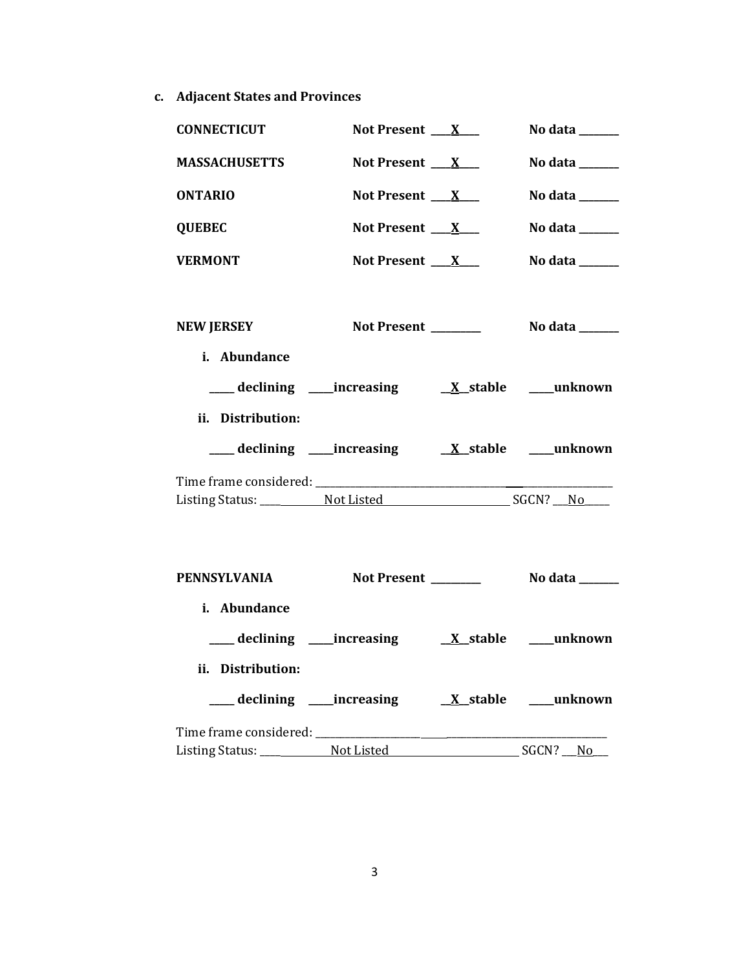**c. Adjacent States and Provinces**

| <b>CONNECTICUT</b>            | Not Present $\mathbf{X}$ |                 | No data $\frac{1}{\sqrt{1-\frac{1}{2}}\cdot\frac{1}{\sqrt{1-\frac{1}{2}}}}$ |
|-------------------------------|--------------------------|-----------------|-----------------------------------------------------------------------------|
| <b>MASSACHUSETTS</b>          | Not Present $X_{-}$      |                 | No data $\frac{1}{\sqrt{1-\frac{1}{2}}\cdot\frac{1}{\sqrt{1-\frac{1}{2}}}}$ |
| <b>ONTARIO</b>                | Not Present $X$          |                 | No data $\_\_$                                                              |
| <b>QUEBEC</b>                 | Not Present $X_{-}$      |                 | No data $\_\_$                                                              |
| <b>VERMONT</b>                | Not Present $X_{-}$      |                 | No data $\_\_\_\_\_\_\_\_\_\_\_\_\_\_\_\_$                                  |
|                               |                          |                 |                                                                             |
| <b>NEW JERSEY</b>             |                          |                 |                                                                             |
| i. Abundance                  |                          |                 |                                                                             |
|                               |                          |                 |                                                                             |
| ii. Distribution:             |                          |                 |                                                                             |
|                               |                          |                 |                                                                             |
|                               |                          |                 |                                                                             |
|                               |                          |                 |                                                                             |
|                               |                          |                 |                                                                             |
| <b>PENNSYLVANIA</b>           |                          |                 |                                                                             |
| i. Abundance                  |                          |                 |                                                                             |
|                               |                          |                 |                                                                             |
|                               |                          |                 |                                                                             |
| ii. Distribution:             |                          |                 |                                                                             |
| ___ declining ____ increasing |                          | <u>X</u> stable | ___unknown                                                                  |
| Time frame considered:        |                          |                 |                                                                             |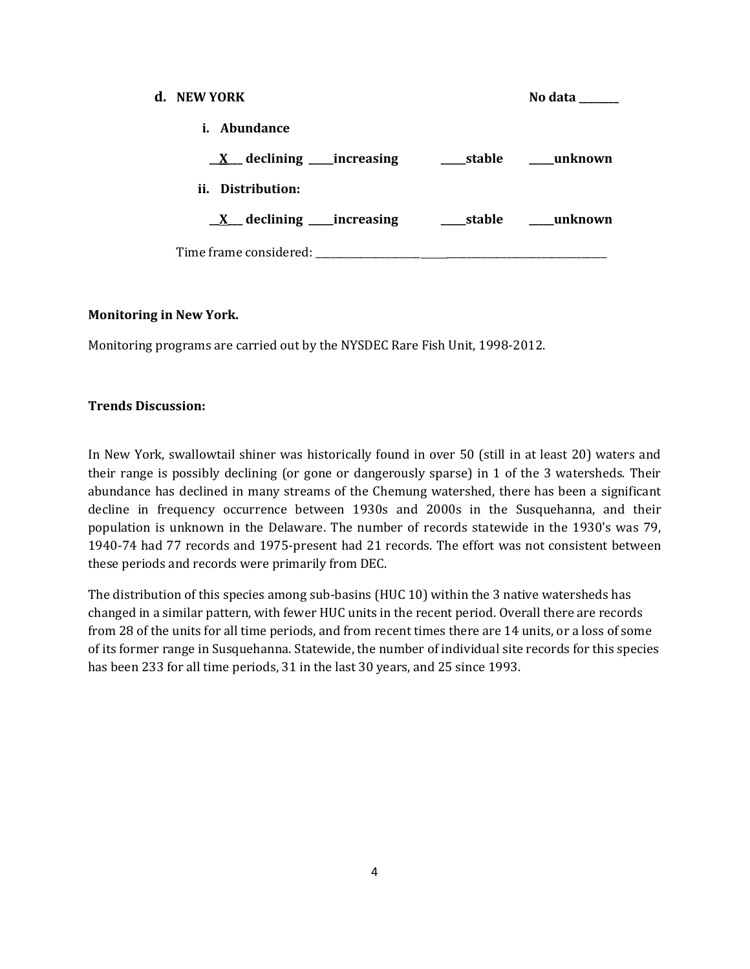| d. NEW YORK                                   |            | No data |
|-----------------------------------------------|------------|---------|
| i. Abundance                                  |            |         |
| $\underline{X}$ declining _____increasing     | ____stable | unknown |
| ii. Distribution:                             |            |         |
| $\underline{X}$ declining _____increasing     | stable     | unknown |
| Time frame considered: Time frame considered: |            |         |

### **Monitoring in New York.**

Monitoring programs are carried out by the NYSDEC Rare Fish Unit, 1998-2012.

### **Trends Discussion:**

In New York, swallowtail shiner was historically found in over 50 (still in at least 20) waters and their range is possibly declining (or gone or dangerously sparse) in 1 of the 3 watersheds. Their abundance has declined in many streams of the Chemung watershed, there has been a significant decline in frequency occurrence between 1930s and 2000s in the Susquehanna, and their population is unknown in the Delaware. The number of records statewide in the 1930's was 79, 1940-74 had 77 records and 1975-present had 21 records. The effort was not consistent between these periods and records were primarily from DEC.

The distribution of this species among sub-basins (HUC 10) within the 3 native watersheds has changed in a similar pattern, with fewer HUC units in the recent period. Overall there are records from 28 of the units for all time periods, and from recent times there are 14 units, or a loss of some of its former range in Susquehanna. Statewide, the number of individual site records for this species has been 233 for all time periods, 31 in the last 30 years, and 25 since 1993.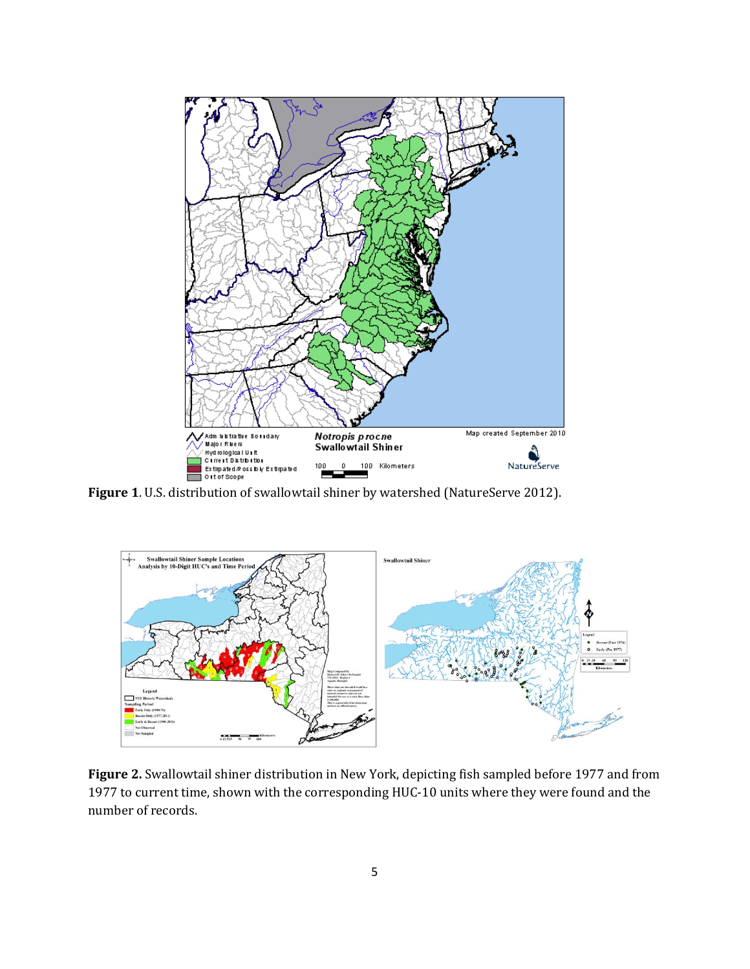

**Figure 1**. U.S. distribution of swallowtail shiner by watershed (NatureServe 2012).



**Figure 2.** Swallowtail shiner distribution in New York, depicting fish sampled before 1977 and from 1977 to current time, shown with the corresponding HUC-10 units where they were found and the number of records.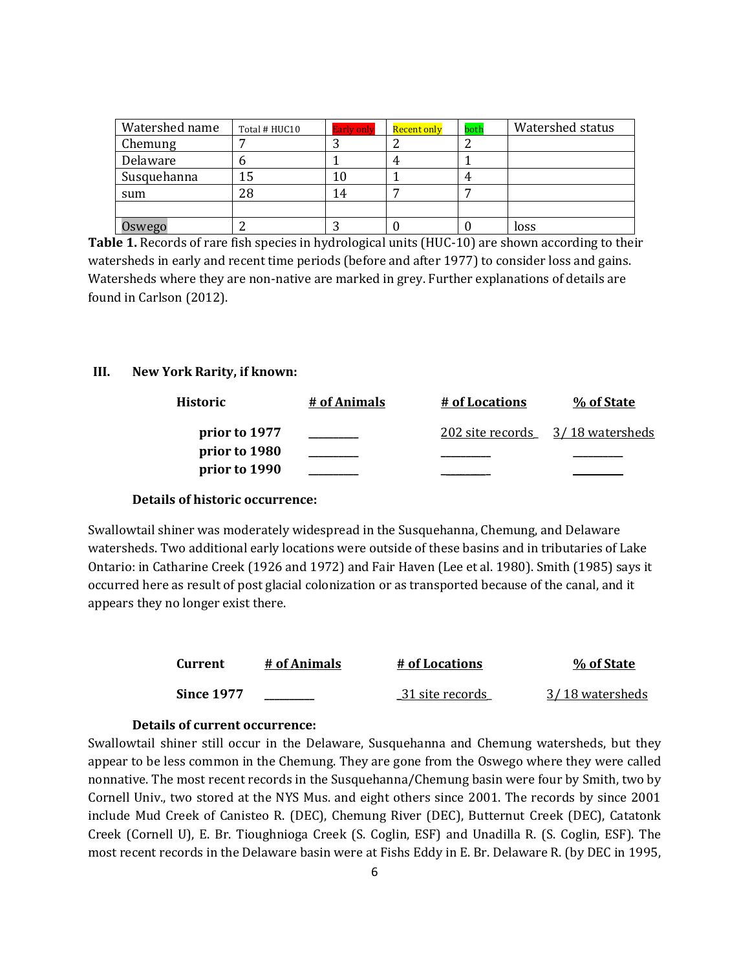| Watershed name | Total # HUC10 | <b>Early only</b> | Recent only | both | Watershed status |
|----------------|---------------|-------------------|-------------|------|------------------|
| Chemung        |               |                   |             |      |                  |
| Delaware       | U             |                   | 4           |      |                  |
| Susquehanna    | 15            | 10                |             | 4    |                  |
| sum            | 28            | 14                |             |      |                  |
|                |               |                   |             |      |                  |
| Oswego         |               |                   |             |      | loss             |

**Table 1.** Records of rare fish species in hydrological units (HUC-10) are shown according to their watersheds in early and recent time periods (before and after 1977) to consider loss and gains. Watersheds where they are non-native are marked in grey. Further explanations of details are found in Carlson (2012).

#### **III. New York Rarity, if known:**

| Historic      | # of Animals | # of Locations   | % of State      |
|---------------|--------------|------------------|-----------------|
| prior to 1977 |              | 202 site records | 3/18 watersheds |
| prior to 1980 |              |                  |                 |
| prior to 1990 |              |                  |                 |

#### **Details of historic occurrence:**

Swallowtail shiner was moderately widespread in the Susquehanna, Chemung, and Delaware watersheds. Two additional early locations were outside of these basins and in tributaries of Lake Ontario: in Catharine Creek (1926 and 1972) and Fair Haven (Lee et al. 1980). Smith (1985) says it occurred here as result of post glacial colonization or as transported because of the canal, and it appears they no longer exist there.

| <b>Current</b>    | # of Animals | # of Locations  | % of State      |
|-------------------|--------------|-----------------|-----------------|
| <b>Since 1977</b> |              | 31 site records | 3/18 watersheds |

#### **Details of current occurrence:**

Swallowtail shiner still occur in the Delaware, Susquehanna and Chemung watersheds, but they appear to be less common in the Chemung. They are gone from the Oswego where they were called nonnative. The most recent records in the Susquehanna/Chemung basin were four by Smith, two by Cornell Univ., two stored at the NYS Mus. and eight others since 2001. The records by since 2001 include Mud Creek of Canisteo R. (DEC), Chemung River (DEC), Butternut Creek (DEC), Catatonk Creek (Cornell U), E. Br. Tioughnioga Creek (S. Coglin, ESF) and Unadilla R. (S. Coglin, ESF). The most recent records in the Delaware basin were at Fishs Eddy in E. Br. Delaware R. (by DEC in 1995,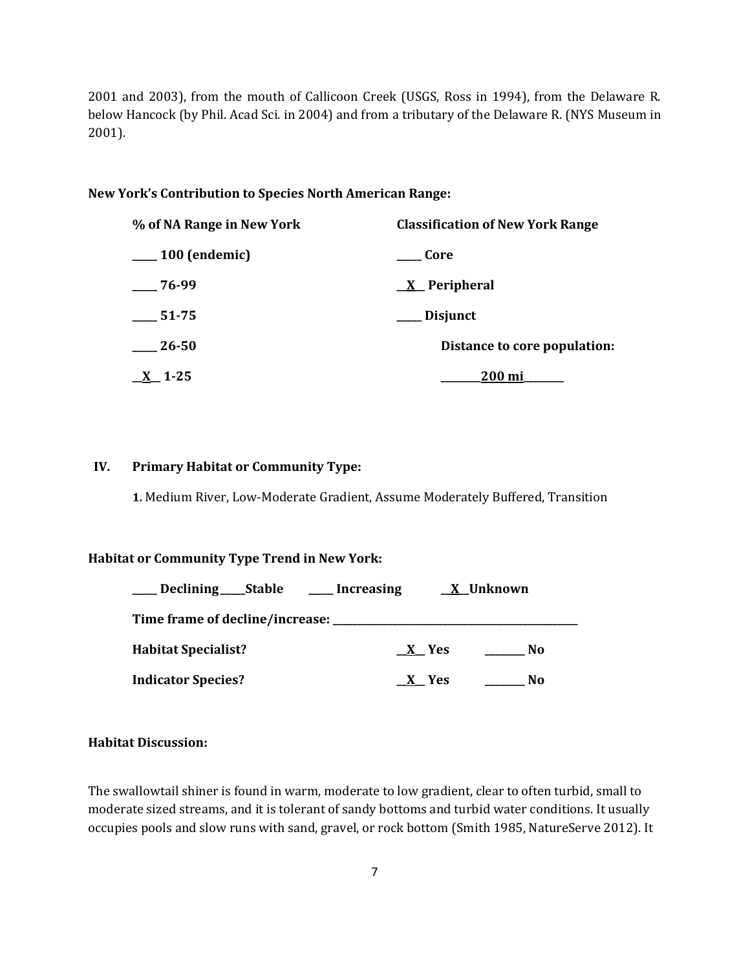2001 and 2003), from the mouth of Callicoon Creek (USGS, Ross in 1994), from the Delaware R. below Hancock (by Phil. Acad Sci. in 2004) and from a tributary of the Delaware R. (NYS Museum in 2001).

#### **New York's Contribution to Species North American Range:**

| % of NA Range in New York | <b>Classification of New York Range</b> |
|---------------------------|-----------------------------------------|
| $\frac{100}{2}$ (endemic) | Core                                    |
| $-76-99$                  | $\underline{X}$ Peripheral              |
| $\frac{1}{2}$ 51-75       | ___ Disjunct                            |
| $-26-50$                  | Distance to core population:            |
| $X$ 1-25                  | 200 mi                                  |

## **IV. Primary Habitat or Community Type:**

**1.** Medium River, Low-Moderate Gradient, Assume Moderately Buffered, Transition

### **Habitat or Community Type Trend in New York:**

| Declining _____Stable                         | <u>___</u> Increasing |         | <b>X</b> Unknown |  |
|-----------------------------------------------|-----------------------|---------|------------------|--|
| Time frame of decline/increase: _____________ |                       |         |                  |  |
| <b>Habitat Specialist?</b>                    |                       | $X$ Yes | No.              |  |
| <b>Indicator Species?</b>                     |                       | X Yes   | No.              |  |

#### **Habitat Discussion:**

The swallowtail shiner is found in warm, moderate to low gradient, clear to often turbid, small to moderate sized streams, and it is tolerant of sandy bottoms and turbid water conditions. It usually occupies pools and slow runs with sand, gravel, or rock bottom (Smith 1985, NatureServe 2012). It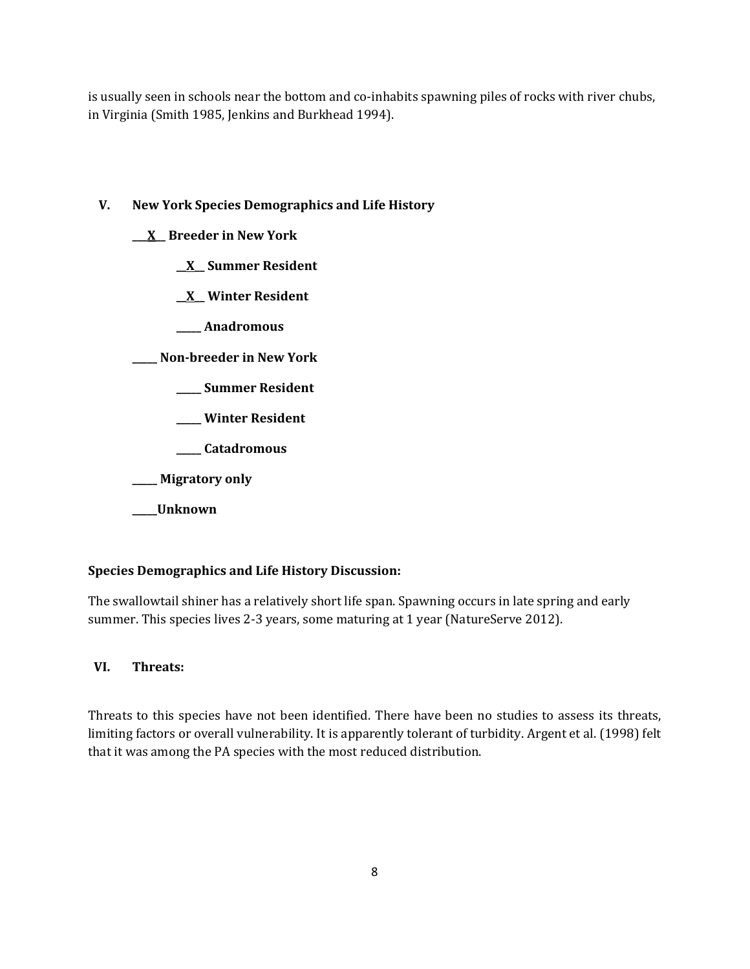is usually seen in schools near the bottom and co-inhabits spawning piles of rocks with river chubs, in Virginia (Smith 1985, Jenkins and Burkhead 1994).

# **V. New York Species Demographics and Life History**

**\_\_\_X\_\_ Breeder in New York**

**\_\_X\_\_ Summer Resident**

**\_\_X\_\_ Winter Resident**

**\_\_\_\_\_ Anadromous**

**\_\_\_\_\_ Non-breeder in New York**

**\_\_\_\_\_ Summer Resident**

**\_\_\_\_\_ Winter Resident**

**\_\_\_\_\_ Catadromous**

**\_\_\_\_\_ Migratory only**

**\_\_\_\_\_Unknown**

# **Species Demographics and Life History Discussion:**

The swallowtail shiner has a relatively short life span. Spawning occurs in late spring and early summer. This species lives 2-3 years, some maturing at 1 year (NatureServe 2012).

# **VI. Threats:**

Threats to this species have not been identified. There have been no studies to assess its threats, limiting factors or overall vulnerability. It is apparently tolerant of turbidity. Argent et al. (1998) felt that it was among the PA species with the most reduced distribution.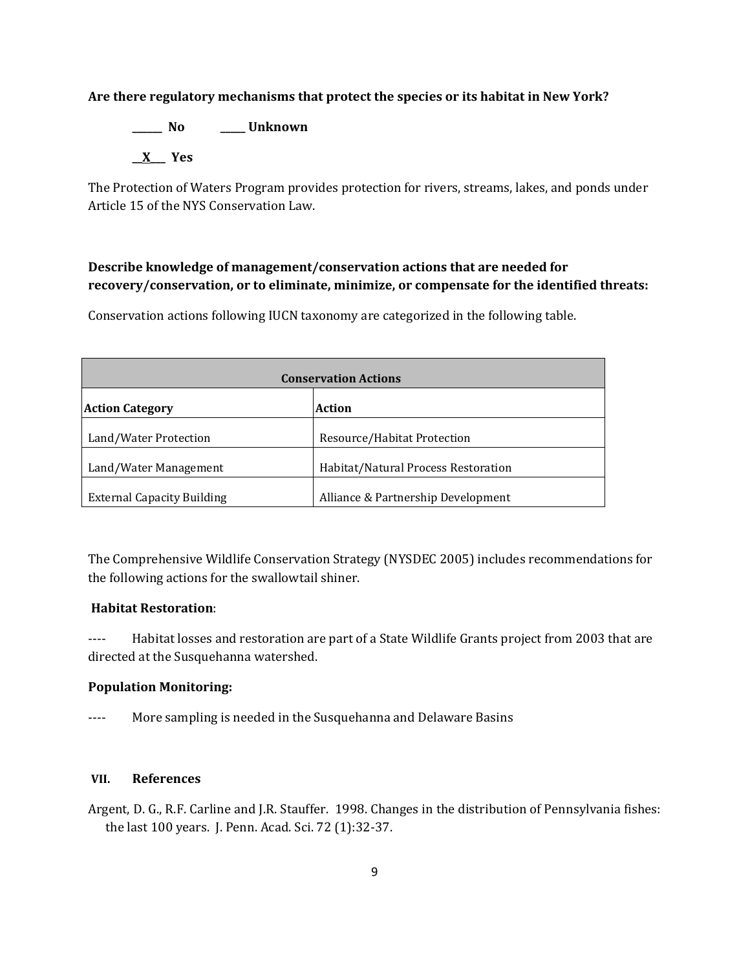## **Are there regulatory mechanisms that protect the species or its habitat in New York?**

**\_\_\_\_\_\_ No \_\_\_\_\_ Unknown \_\_X\_\_\_ Yes** 

The Protection of Waters Program provides protection for rivers, streams, lakes, and ponds under Article 15 of the NYS Conservation Law.

# **Describe knowledge of management/conservation actions that are needed for recovery/conservation, or to eliminate, minimize, or compensate for the identified threats:**

Conservation actions following IUCN taxonomy are categorized in the following table.

| <b>Conservation Actions</b>       |                                     |  |
|-----------------------------------|-------------------------------------|--|
| <b>Action Category</b>            | <b>Action</b>                       |  |
| Land/Water Protection             | Resource/Habitat Protection         |  |
| Land/Water Management             | Habitat/Natural Process Restoration |  |
| <b>External Capacity Building</b> | Alliance & Partnership Development  |  |

The Comprehensive Wildlife Conservation Strategy (NYSDEC 2005) includes recommendations for the following actions for the swallowtail shiner.

## **Habitat Restoration**:

---- Habitat losses and restoration are part of a State Wildlife Grants project from 2003 that are directed at the Susquehanna watershed.

## **Population Monitoring:**

---- More sampling is needed in the Susquehanna and Delaware Basins

#### **VII. References**

Argent, D. G., R.F. Carline and J.R. Stauffer. 1998. Changes in the distribution of Pennsylvania fishes: the last 100 years. J. Penn. Acad. Sci. 72 (1):32-37.